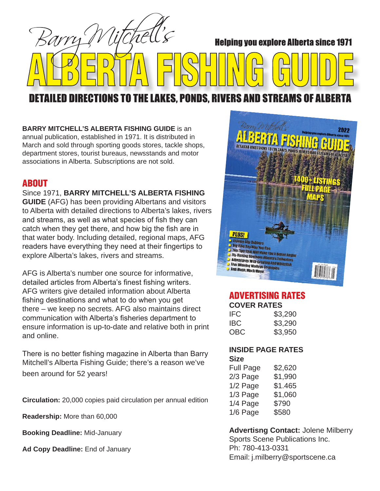Barry **Helping you explore Alberta since 1971** 

# **DETAILED DIRECTIONS TO THE LAKES, PONDS, RIVERS AND STREAMS OF ALBERT**

**BARRY MITCHELL'S ALBERTA FISHING GUIDE** is an annual publication, established in 1971. It is distributed in March and sold through sporting goods stores, tackle shops, department stores, tourist bureaus, newsstands and motor associations in Alberta. Subscriptions are not sold.

## ABOUT

### Since 1971, **BARRY MITCHELL'S ALBERTA FISHING**

**GUIDE** (AFG) has been providing Albertans and visitors to Alberta with detailed directions to Alberta's lakes, rivers and streams, as well as what species of fish they can catch when they get there, and how big the fish are in that water body. Including detailed, regional maps, AFG readers have everything they need at their fingertips to explore Alberta's lakes, rivers and streams.

AFG is Alberta's number one source for informative, detailed articles from Alberta's finest fishing writers. AFG writers give detailed information about Alberta fishing destinations and what to do when you get there – we keep no secrets. AFG also maintains direct communication with Alberta's fisheries department to ensure information is up-to-date and relative both in print and online.

There is no better fishing magazine in Alberta than Barry Mitchell's Alberta Fishing Guide; there's a reason we've been around for 52 years!

**Circulation:** 20,000 copies paid circulation per annual edition

**Readership:** More than 60,000

**Booking Deadline:** Mid-January

**Ad Copy Deadline:** End of January



# ADVERTISING RATES

| <b>COVER RATES</b> |         |
|--------------------|---------|
| IFC                | \$3,290 |
| IBC                | \$3,290 |
| OBC                | \$3,950 |

#### **INSIDE PAGE RATES Size**

| <b>Full Page</b> | \$2,620 |
|------------------|---------|
| 2/3 Page         | \$1,990 |
| 1/2 Page         | \$1.465 |
| 1/3 Page         | \$1,060 |
| 1/4 Page         | \$790   |
| 1/6 Page         | \$580   |

#### **Advertisng Contact:** Jolene Milberry Sports Scene Publications Inc. Ph: 780-413-0331 Email: j.milberry@sportscene.ca